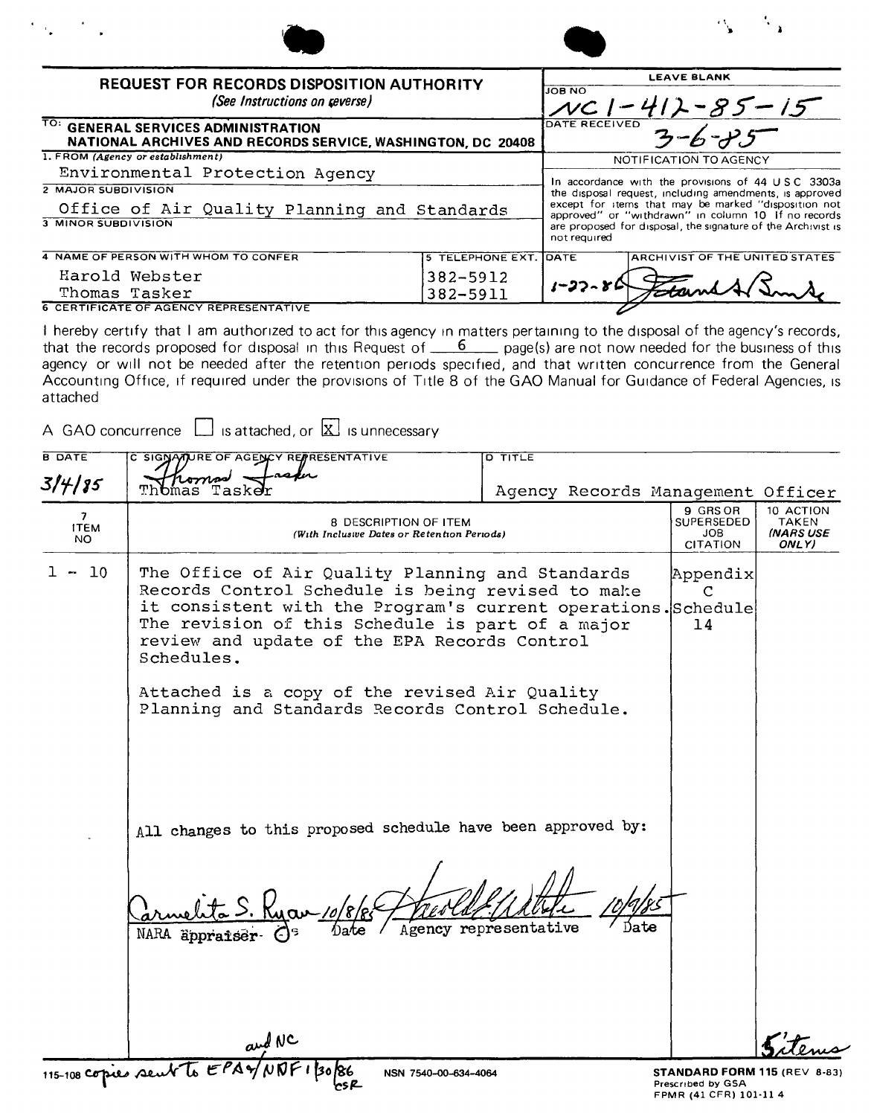| <b>REQUEST FOR RECORDS DISPOSITION AUTHORITY</b><br>(See Instructions on reverse)                  |                       |               | <b>LEAVE BLANK</b><br>$412 - 85 - 15$                                                                       |
|----------------------------------------------------------------------------------------------------|-----------------------|---------------|-------------------------------------------------------------------------------------------------------------|
| TO: GENERAL SERVICES ADMINISTRATION<br>NATIONAL ARCHIVES AND RECORDS SERVICE, WASHINGTON, DC 20408 |                       | DATE RECEIVED |                                                                                                             |
| 1. FROM (Agency or establishment)                                                                  |                       |               | NOTIFICATION TO AGENCY                                                                                      |
| Environmental Protection Agency                                                                    |                       |               | In accordance with the provisions of 44 USC 3303a                                                           |
| 2 MAJOR SUBDIVISION                                                                                |                       |               | the disposal request, including amendments, is approved                                                     |
| Office of Air Quality Planning and Standards                                                       |                       |               | except for items that may be marked "disposition not<br>approved" or "withdrawn" in column 10 If no records |
| <b>3 MINOR SUBDIVISION</b>                                                                         |                       | not required  | are proposed for disposal, the signature of the Archivist is                                                |
| 4 NAME OF PERSON WITH WHOM TO CONFER                                                               | 5 TELEPHONE EXT. DATE |               | ARCHIVIST OF THE UNITED STATES                                                                              |
| Harold Webster                                                                                     | 382-5912              |               |                                                                                                             |
| Thomas Tasker                                                                                      | 382-5911              |               |                                                                                                             |

Thomas Tasker **6 CERTIFICATE OF AGENCY REPRESENTATIVE** 

I hereby certify that I am authorized to act for this agency in matters pertaining to the disposal of the agency's records, that the records proposed for disposal in this Request of  $\frac{6}{100}$  page(s) are not now needed for the business of this agency or will not be needed after the retention periods specified, and that written concurrence from the General Accounting Office, if required under the provisions of Title 8 of the GAO Manual for Guidance of Federal Agencies, is attached

382-5911

A GAO concurrence  $\Box$  is attached, or  $\boxtimes$  is unnecessary

| <b>B DATE</b>                        | C SIGNAMURE OF AGENCY REPRESENTATIVE                                                                                                                                                                                                                                                                                                                                                          | <b>D TITLE</b>                    |                                                                             |                                                 |
|--------------------------------------|-----------------------------------------------------------------------------------------------------------------------------------------------------------------------------------------------------------------------------------------------------------------------------------------------------------------------------------------------------------------------------------------------|-----------------------------------|-----------------------------------------------------------------------------|-------------------------------------------------|
| 3/4/85                               | homod<br><sub>Dmas Tas</sub>                                                                                                                                                                                                                                                                                                                                                                  | Agency Records Management Officer |                                                                             |                                                 |
| $\overline{7}$<br><b>ITEM</b><br>NO. | 8 DESCRIPTION OF ITEM<br>(With Inclusive Dates or Retention Periods)                                                                                                                                                                                                                                                                                                                          |                                   | 9 GRS OR<br><b>SUPERSEDED</b><br>JOB<br>CITATION                            | 10 ACTION<br><b>TAKEN</b><br>(NARS USE<br>ONLY) |
| 10<br>$1 -$                          | The Office of Air Quality Planning and Standards<br>Records Control Schedule is being revised to make<br>it consistent with the Program's current operations. Schedule<br>The revision of this Schedule is part of a major<br>review and update of the EPA Records Control<br>Schedules.<br>Attached is a copy of the revised Air Quality<br>Planning and Standards Records Control Schedule. |                                   | Appendix<br>С<br>14                                                         |                                                 |
|                                      | All changes to this proposed schedule have been approved by:<br>Nate<br>NARA äppraiser-                                                                                                                                                                                                                                                                                                       | Agency representative             |                                                                             |                                                 |
|                                      | and NC                                                                                                                                                                                                                                                                                                                                                                                        |                                   |                                                                             |                                                 |
|                                      | 115-108 copies sent to EPAY<br>NSN 7540-00-634-4064                                                                                                                                                                                                                                                                                                                                           |                                   | STANDARD FORM 115 (REV 8-83)<br>Prescribed by GSA<br>FPMR (41 CFR) 101-11 4 |                                                 |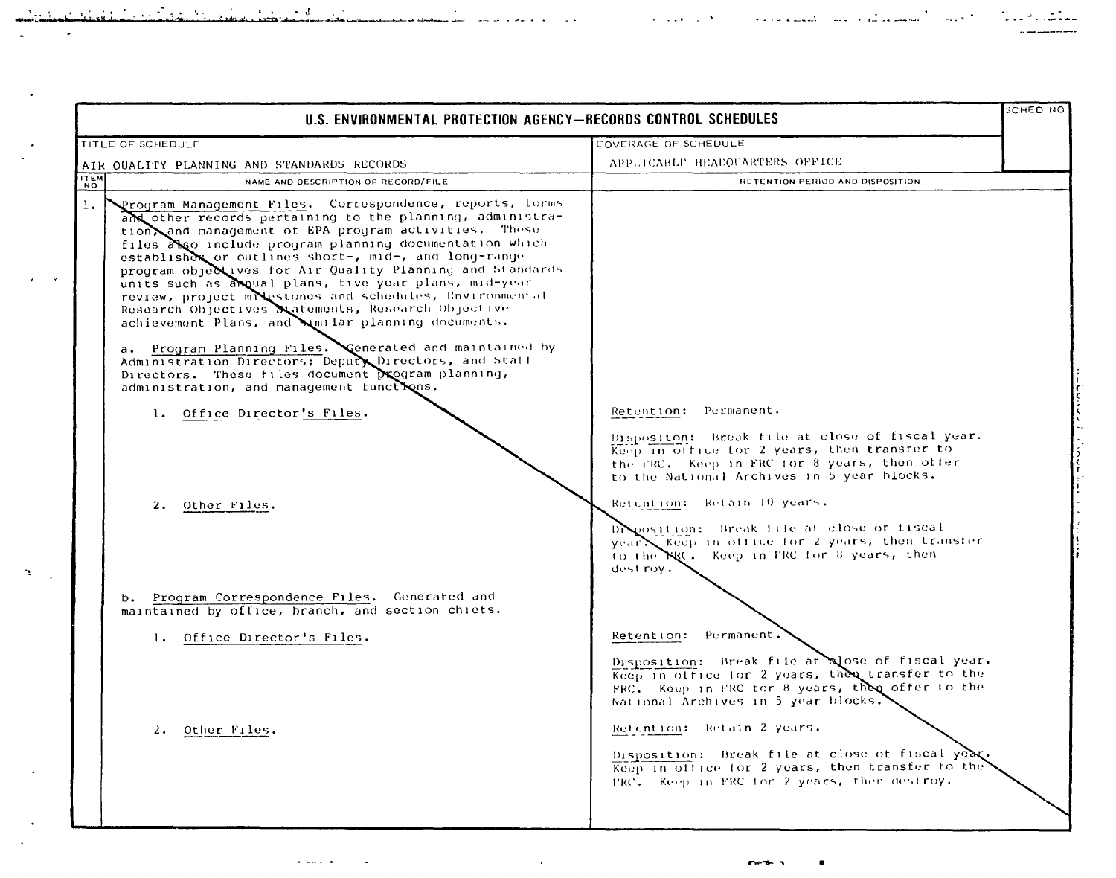| U.S. ENVIRONMENTAL PROTECTION AGENCY-RECORDS CONTROL SCHEDULES                                                                                                                                                                                                                                                                                                                                                                                                                                                                                                                                                                                                                                                                                                                                                                                                           |                                                                                                                                                                                                                                                                                                                                                                                                                   | SCHED NO |
|--------------------------------------------------------------------------------------------------------------------------------------------------------------------------------------------------------------------------------------------------------------------------------------------------------------------------------------------------------------------------------------------------------------------------------------------------------------------------------------------------------------------------------------------------------------------------------------------------------------------------------------------------------------------------------------------------------------------------------------------------------------------------------------------------------------------------------------------------------------------------|-------------------------------------------------------------------------------------------------------------------------------------------------------------------------------------------------------------------------------------------------------------------------------------------------------------------------------------------------------------------------------------------------------------------|----------|
| TITLE OF SCHEDULE                                                                                                                                                                                                                                                                                                                                                                                                                                                                                                                                                                                                                                                                                                                                                                                                                                                        | COVERAGE OF SCHEDULE                                                                                                                                                                                                                                                                                                                                                                                              |          |
| AIR OUALITY PLANNING AND STANDARDS RECORDS                                                                                                                                                                                                                                                                                                                                                                                                                                                                                                                                                                                                                                                                                                                                                                                                                               | APPLICABLE HEADOUARTERS OFFICE                                                                                                                                                                                                                                                                                                                                                                                    |          |
| $\overline{N_0}$<br>NAME AND DESCRIPTION OF RECORD/FILE                                                                                                                                                                                                                                                                                                                                                                                                                                                                                                                                                                                                                                                                                                                                                                                                                  | RETENTION PERIOD AND DISPOSITION                                                                                                                                                                                                                                                                                                                                                                                  |          |
| 1.<br>Program Management Files. Correspondence, reports, forms<br>and other records pertaining to the planning, administra-<br>tion and management of EPA program activities. These<br>files also include program planning documentation which<br>establisher or outlines short-, mid-, and long-range<br>program objectives for Air Quality Planning and Standards<br>units such as angual plans, tive year plans, mid-year<br>review, project mixestones and schedules, Environmental<br>Research Objectives Matements, Research Objective<br>achievement Plans, and unilar planning documents.<br>a. Program Planning Files. Generated and maintained by<br>Administration Directors; Deputy Directors, and Staff<br>Directors. These files document program planning,<br>administration, and management functions.<br>1. Office Director's Files.<br>2. Other Files. | Retention: Permanent.<br>Dispositon: Break file at close of fiscal year.<br>Keep in office for 2 years, then transfer to<br>the FRC. Keep in FRC for 8 years, then offer<br>to the National Archives in 5 year blocks.<br>Retuntion: Retain 10 years.<br>Disposition: Break file at close of fiscal<br>year X Keep in office for 2 years, then transfer<br>to the NRC. Keep in FRC for 8 years, then<br>dest roy. |          |
| b. Program Correspondence Files. Generated and<br>maintained by office, branch, and section chiefs.                                                                                                                                                                                                                                                                                                                                                                                                                                                                                                                                                                                                                                                                                                                                                                      |                                                                                                                                                                                                                                                                                                                                                                                                                   |          |
| 1. Office Director's Files.                                                                                                                                                                                                                                                                                                                                                                                                                                                                                                                                                                                                                                                                                                                                                                                                                                              | Permanent.<br>Retention:                                                                                                                                                                                                                                                                                                                                                                                          |          |
| 2. Other Files.                                                                                                                                                                                                                                                                                                                                                                                                                                                                                                                                                                                                                                                                                                                                                                                                                                                          | Disposition: Break file at alose of fiscal year.<br>Keep in office for 2 years, then transfer to the<br>FRC. Keep in FRC for 8 years, then offer to the<br>National Archives in 5 year blocks.<br>Refention: Retain 2 years.<br>Disposition: Break file at close of fiscal year.<br>Keep in office for 2 years, then transfer to the<br>TRC. Keep in FRC for 2 years, then destroy.                               |          |

 $\mathcal{L}(\mathcal{L}(\mathcal{L}(\mathcal{L}(\mathcal{L}(\mathcal{L}(\mathcal{L}(\mathcal{L}(\mathcal{L}(\mathcal{L}(\mathcal{L}(\mathcal{L}(\mathcal{L}(\mathcal{L}(\mathcal{L}(\mathcal{L}(\mathcal{L}(\mathcal{L}(\mathcal{L}(\mathcal{L}(\mathcal{L}(\mathcal{L}(\mathcal{L}(\mathcal{L}(\mathcal{L}(\mathcal{L}(\mathcal{L}(\mathcal{L}(\mathcal{L}(\mathcal{L}(\mathcal{L}(\mathcal{L}(\mathcal{L}(\mathcal{L}(\mathcal{L}(\mathcal{L}(\mathcal{$ 

المتوارث والأساس والمست

 $\sim 10^{11}$  and  $\sim 10^{11}$  km  $^{-1}$ 

له.<br>- المحمد على الناول في التاسين المتعلقة التاريخ المادية التي الم

 $\sim 10^{-4}$ 

المستشرك والالت

 $\sim$   $\,$   $\,$   $\,$ 

 $\mathbf{z}$  and  $\mathbf{z}$ 

 $\frac{1}{2}$ 

 $\mathcal{L}^{\mathcal{L}}$ 

 $\mathcal{N}$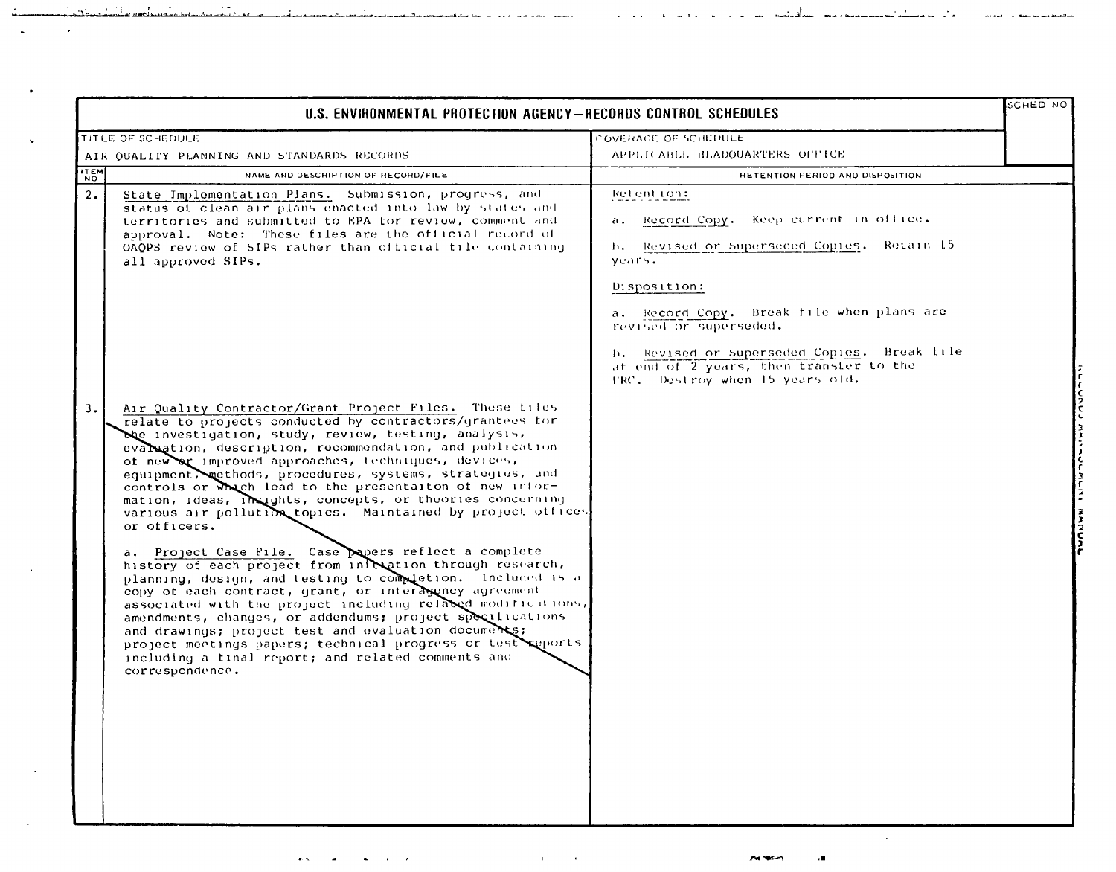| U.S. ENVIRONMENTAL PROTECTION AGENCY-RECORDS CONTROL SCHEDULES |                                                                                                                                                                                                                                                                                                                                                                                                                                                                                                                                                                                                                                                                                                                                                                                                                                                                                                                                                                                                                                                                                                                                              |                                                                                                                                                                                                                                                                                                                                         | <b>SCHED NO</b> |
|----------------------------------------------------------------|----------------------------------------------------------------------------------------------------------------------------------------------------------------------------------------------------------------------------------------------------------------------------------------------------------------------------------------------------------------------------------------------------------------------------------------------------------------------------------------------------------------------------------------------------------------------------------------------------------------------------------------------------------------------------------------------------------------------------------------------------------------------------------------------------------------------------------------------------------------------------------------------------------------------------------------------------------------------------------------------------------------------------------------------------------------------------------------------------------------------------------------------|-----------------------------------------------------------------------------------------------------------------------------------------------------------------------------------------------------------------------------------------------------------------------------------------------------------------------------------------|-----------------|
|                                                                | TITLE OF SCHEDULE                                                                                                                                                                                                                                                                                                                                                                                                                                                                                                                                                                                                                                                                                                                                                                                                                                                                                                                                                                                                                                                                                                                            | COVERAGE OF SCHLDULE                                                                                                                                                                                                                                                                                                                    |                 |
|                                                                | AIR OUALITY PLANNING AND STANDARDS RECORDS                                                                                                                                                                                                                                                                                                                                                                                                                                                                                                                                                                                                                                                                                                                                                                                                                                                                                                                                                                                                                                                                                                   | APPLICABLE BEADQUARTERS OFFICE                                                                                                                                                                                                                                                                                                          |                 |
| $\begin{bmatrix} 1 & 1 \\ 1 & 0 \end{bmatrix}$                 | NAME AND DESCRIP FION OF RECORD/FILE                                                                                                                                                                                                                                                                                                                                                                                                                                                                                                                                                                                                                                                                                                                                                                                                                                                                                                                                                                                                                                                                                                         | RETENTION PERIOD AND DISPOSITION                                                                                                                                                                                                                                                                                                        |                 |
| 2.                                                             | State Implementation Plans. Submission, progress, and<br>status of clean air plans enacted into law by states and<br>territories and submitted to EPA for review, comment and<br>approval. Note: These files are the official record of<br>OAOPS review of SIPs rather than official tile containing<br>all approved SIPs.                                                                                                                                                                                                                                                                                                                                                                                                                                                                                                                                                                                                                                                                                                                                                                                                                   | Retention:<br>Record Copy. Keep current in office.<br>a.<br>Revised or Superseded Copies. Retain 15<br>h.<br>years.<br>Disposition:<br>a. Record Copy. Break file when plans are<br>revised or superseded.<br>b. Revised or Superseded Copies. Break tile<br>at end of 2 years, then transfer to the<br>TRC. Destroy when 15 years old. |                 |
| 3.                                                             | Air Quality Contractor/Grant Project Files. These files<br>relate to projects conducted by contractors/grantees for<br>the investigation, study, review, testing, analysis,<br>evaluation, description, recommendation, and publication<br>of new ar improved approaches, techniques, devices,<br>equipment, methods, procedures, systems, strategies, and<br>controls or which lead to the presentation of new infor-<br>mation, ideas, insights, concepts, or theories concerning<br>various air pollution topics. Maintained by project offices<br>or officers.<br>a. Project Case File. Case papers reflect a complete<br>history of each project from initiation through research,<br>planning, design, and testing to completion. Included is a<br>copy of each contract, grant, or interasency agreement<br>associated with the project including related modifications,<br>amendments, changes, or addendums; project specifications<br>and drawings; project test and evaluation documents;<br>project meetings papers; technical progress or test seports<br>including a tinal report; and related comments and<br>correspondence. |                                                                                                                                                                                                                                                                                                                                         |                 |

 $\epsilon$ 

 $\bullet$  .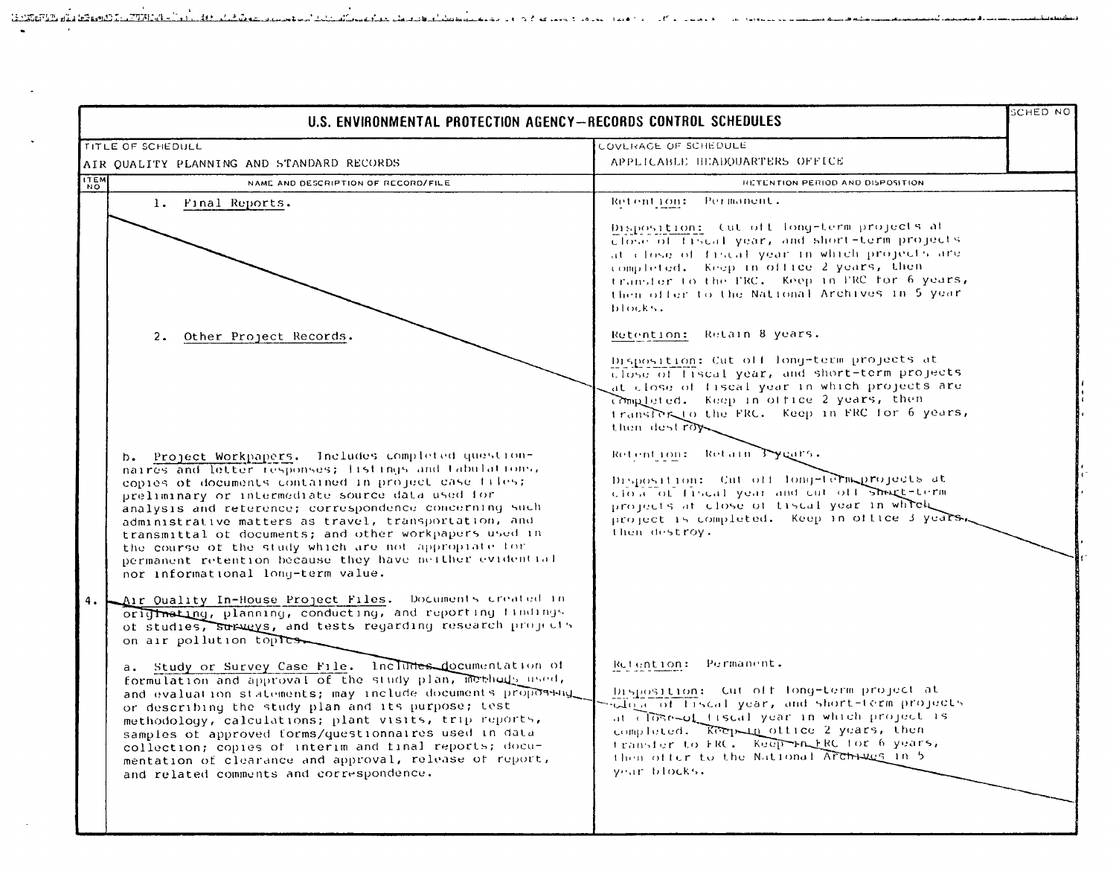| U.S. ENVIRONMENTAL PROTECTION AGENCY-RECORDS CONTROL SCHEDULES                                                                                                                                                                                                                                                                                                                                                                                                                                                                                                                                                                                                                                                                                          |                                                                                                                                                                                                                                                                                                                         | <b>SCHED NO</b> |
|---------------------------------------------------------------------------------------------------------------------------------------------------------------------------------------------------------------------------------------------------------------------------------------------------------------------------------------------------------------------------------------------------------------------------------------------------------------------------------------------------------------------------------------------------------------------------------------------------------------------------------------------------------------------------------------------------------------------------------------------------------|-------------------------------------------------------------------------------------------------------------------------------------------------------------------------------------------------------------------------------------------------------------------------------------------------------------------------|-----------------|
| TITLE OF SCHEDULL                                                                                                                                                                                                                                                                                                                                                                                                                                                                                                                                                                                                                                                                                                                                       | COVERAGE OF SCHEDULE                                                                                                                                                                                                                                                                                                    |                 |
| AIR QUALITY PLANNING AND STANDARD RECORDS                                                                                                                                                                                                                                                                                                                                                                                                                                                                                                                                                                                                                                                                                                               | APPLICABLE HEADQUARTERS OFFICE                                                                                                                                                                                                                                                                                          |                 |
| <b>ITEM</b><br>NAME AND DESCRIPTION OF RECORD/FILE                                                                                                                                                                                                                                                                                                                                                                                                                                                                                                                                                                                                                                                                                                      | RETENTION PERIOD AND DISPOSITION                                                                                                                                                                                                                                                                                        |                 |
| 1. Final Reports.                                                                                                                                                                                                                                                                                                                                                                                                                                                                                                                                                                                                                                                                                                                                       | Retention: Permanent.<br>Disposition: Cut off long-term projects at<br>Close of fiscal year, and short-term projects<br>at close of fiscal year in which projects are<br>completed. Keep in office 2 years, then                                                                                                        |                 |
|                                                                                                                                                                                                                                                                                                                                                                                                                                                                                                                                                                                                                                                                                                                                                         | transfer to the FRC. Keep in FRC for 6 years,<br>then offer to the National Archives in 5 year.<br>blocks.                                                                                                                                                                                                              |                 |
| Other Project Records.<br>2.                                                                                                                                                                                                                                                                                                                                                                                                                                                                                                                                                                                                                                                                                                                            | Retention: Retain 8 years.<br>Disposition: Cut off long-term projects at<br>Close of fiscal year, and short-term projects<br>at close of fiscal year in which projects are<br>Completed. Keep in office 2 years, then<br>transfer to the FRC. Keep in FRC for 6 years,<br>then destroy                                  |                 |
| b. Project Workpapers. Includes completed question-<br>naircs and letter responses; listings and tabulations,<br>copies of documents contained in project case files;<br>preliminary or intermediate source data used for<br>analysis and reterence; correspondence concerning such<br>administrative matters as travel, transportation, and<br>transmittal of documents; and other workpapers used in<br>the course of the study which are not appropiate for<br>permanent retention because they have neither evidential<br>nor informational long-term value.                                                                                                                                                                                        | Retention: Retain Tygars.<br>Disposition: Cut off fong-term projects at<br>close of fiscal year and cut off short-term<br>projects at close of fiscal year in which<br>project is completed. Keep in office 3 years.<br>then destroy.                                                                                   |                 |
| Air Quality In-House Project Files. Documents created in<br>4.1<br>originating, planning, conducting, and reporting findings<br>of studies, surveys, and tests regarding research projects<br>on air pollution toples.<br>a. Study or Survey Case File. Includes documentation of<br>formulation and approval of the study plan, methods used,<br>and evaluation statements; may include documents proposedul<br>or describing the study plan and its purpose; test<br>methodology, calculations; plant visits, trip reports,<br>samples of approved forms/questionnaires used in data<br>collection; copies of interim and final reports; docu-<br>mentation of clearance and approval, release of report,<br>and related comments and correspondence. | Retention: Permanent.<br>Disposition: Cut off long-term project at<br>Sulate of liscal year, and short-term projects<br>at close-of fiscal year in which project is<br>completed. Keep in ottice 2 years, then<br>transfer to FRC. Keep Fn ERC for 6 years,<br>then offer to the National Archives in 5<br>year blocks. |                 |

12 rue de la componibilitat de la componentat de la contra de la construcción de la componenta de la component

للمدائمة

<u>Geboorte als German en Frankrikken i</u>

 $\mathbf{r}$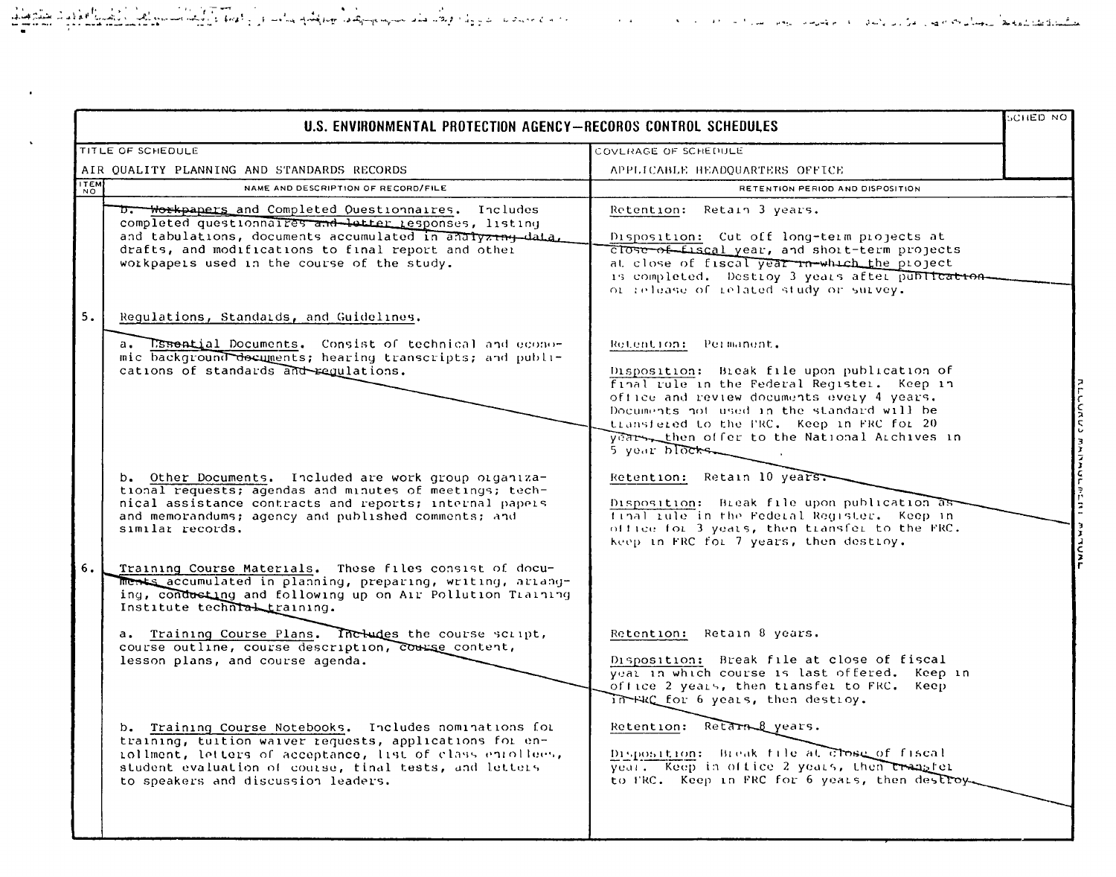$\bullet$ 

 $\mathbf{A}$ 

|             | U.S. ENVIRONMENTAL PROTECTION AGENCY-RECOROS CONTROL SCHEDULES                                                                                                                                                                                                                                                                                                                                                                                                                                                                                                                                                                                             |                                                                                                                                                                                                                                                                                                                                                                                          | CHED NO |
|-------------|------------------------------------------------------------------------------------------------------------------------------------------------------------------------------------------------------------------------------------------------------------------------------------------------------------------------------------------------------------------------------------------------------------------------------------------------------------------------------------------------------------------------------------------------------------------------------------------------------------------------------------------------------------|------------------------------------------------------------------------------------------------------------------------------------------------------------------------------------------------------------------------------------------------------------------------------------------------------------------------------------------------------------------------------------------|---------|
|             | TITLE OF SCHEDULE                                                                                                                                                                                                                                                                                                                                                                                                                                                                                                                                                                                                                                          | COVERAGE OF SCHEDULE                                                                                                                                                                                                                                                                                                                                                                     |         |
|             | AIR OUALITY PLANNING AND STANDARDS RECORDS                                                                                                                                                                                                                                                                                                                                                                                                                                                                                                                                                                                                                 | APPLICABLE HEADQUARTERS OFFICE                                                                                                                                                                                                                                                                                                                                                           |         |
| <b>ITEM</b> | NAME AND DESCRIPTION OF RECORD/FILE                                                                                                                                                                                                                                                                                                                                                                                                                                                                                                                                                                                                                        | RETENTION PERIOD AND DISPOSITION                                                                                                                                                                                                                                                                                                                                                         |         |
|             | D. Workpapers and Completed Ouestionnaires. Includes<br>completed questionnalies and better responses, listing<br>and tabulations, documents accumulated in analyzing-data,<br>drafts, and modifications to final report and other<br>workpapers used in the course of the study.                                                                                                                                                                                                                                                                                                                                                                          | Retention: Retain 3 years.<br>Disposition: Cut off long-term projects at<br>close of fiscal year, and short-term projects<br>at close of fiscal year in which the project<br>is completed. Destroy 3 years after publication-<br>of release of related study or survey.                                                                                                                  |         |
| 5.          | Regulations, Standards, and Guidelines.<br>a. Essential Documents. Consist of technical and econo-<br>mic background decuments; hearing transcripts; and publi-<br>cations of standards and requiations.                                                                                                                                                                                                                                                                                                                                                                                                                                                   | Retention: Permanent.<br>Disposition: Break file upon publication of<br>final rule in the Federal Register. Keep in<br>office and review documents every 4 years.<br>Documents not used in the standard will be<br>transfered to the FRC. Keep in FRC for 20<br>year then offer to the National Archives in<br>5 year blocks                                                             |         |
|             | b. Other Documents. Included are work group organiza-<br>tional requests; agendas and minutes of meetings; tech-<br>nical assistance contracts and reports; internal papers<br>and memorandums; agency and published comments; and<br>similar records.                                                                                                                                                                                                                                                                                                                                                                                                     | Retention: Retain 10 years.<br>Disposition: Break file upon publication as<br>final tule in the Federal Requster. Keep in<br>office for 3 years, then transfer to the FRC.<br>keep in FRC for 7 years, then destroy.                                                                                                                                                                     |         |
| 6.          | Training Course Materials. These files consist of docu-<br>ments accumulated in planning, preparing, writing, ariang-<br>ing, condusting and following up on Air Pollution Training<br>Institute techntal training.<br>a. Training Course Plans. Includes the course script,<br>course outline, course description, course content,<br>lesson plans, and course agenda.<br>b. Training Course Notebooks. Includes nominations for<br>training, tuition waiver requests, applications for en-<br>rollment, letters of acceptance, list of class enrollees,<br>student evaluation of course, tinal tests, and letters<br>to speakers and discussion leaders. | Retention: Retain 8 years.<br>Disposition: Break file at close of fiscal<br>year in which course is last offered. Keep in<br>office 2 years, then transfer to FRC. Keep<br>In FRC for 6 years, then destroy.<br>Retention: Retarn & years.<br>Disposition: Break file at Close of fiscal<br>year. Keep in office 2 years, then transfer<br>to FRC. Keep in FRC for 6 years, then destroy |         |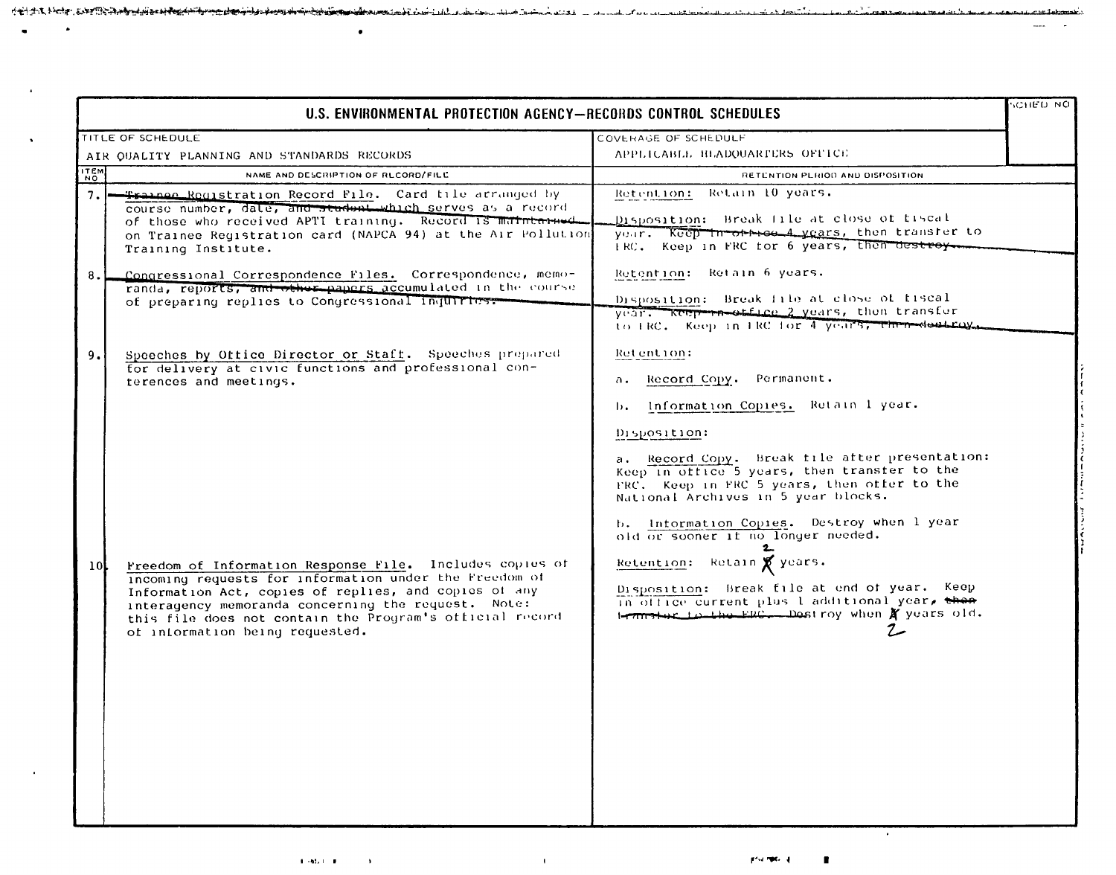|                 | U.S. ENVIRONMENTAL PROTECTION AGENCY-RECORDS CONTROL SCHEDULES                                                                                                                                                                                                                                                                    |                                                                                                                                                                                                                                                                                                                                                                                     | <b>CHED NO</b> |
|-----------------|-----------------------------------------------------------------------------------------------------------------------------------------------------------------------------------------------------------------------------------------------------------------------------------------------------------------------------------|-------------------------------------------------------------------------------------------------------------------------------------------------------------------------------------------------------------------------------------------------------------------------------------------------------------------------------------------------------------------------------------|----------------|
|                 | TITLE OF SCHEDULE                                                                                                                                                                                                                                                                                                                 | COVERAGE OF SCHEDULF                                                                                                                                                                                                                                                                                                                                                                |                |
|                 | AIR QUALITY PLANNING AND STANDARDS RECORDS                                                                                                                                                                                                                                                                                        | APPEICABLE HEADOUARTERS OFFICE                                                                                                                                                                                                                                                                                                                                                      |                |
| <b>ITEM</b>     | NAME AND DESCRIPTION OF RECORD/FILE                                                                                                                                                                                                                                                                                               | RETENTION PLRIOD AND DISPOSITION                                                                                                                                                                                                                                                                                                                                                    |                |
| 7.1             | -Trainee Reqistration Record File. Card tile arranged by<br>course number, date, and student which serves as a record<br>of those who received APTI training. Record is mathten-med.<br>on Trainee Registration card (NAPCA 94) at the Air Pollution<br>Training Institute.                                                       | Retain 10 years.<br>Retention:<br>Disposition: Break file at close of fiscal<br>year. Keep in other A years, then transfer to<br>IRC. Keep in FRC for 6 years, then destroy.                                                                                                                                                                                                        |                |
| 8.1             | Congressional Correspondence Files. Correspondence, memo-<br>randa, reports, and other papers accumulated in the course<br>of preparing replies to Congressional inquiries.                                                                                                                                                       | Retention: Retain 6 years.<br>Disposition: Break file at close of fiscal<br>year. Keep-positice 2 years, then transfer<br>to FRC. Keep in FRC for 4 years, then destroy.                                                                                                                                                                                                            |                |
| 9.1             | Speeches by Office Director or Staff. Speeches prepared<br>for delivery at civic functions and professional con-<br>terences and meetings.                                                                                                                                                                                        | Retention:<br>Record Copy. Permanent.<br>а.<br>Information Copies. Retain 1 year.<br>ь.<br>Disposition:<br>a. Record Copy. Break file after presentation:<br>Keep in ottice 5 years, then transfer to the<br>FRC. Keep in FRC 5 years, then offer to the<br>National Archives in 5 year blocks.<br>b. Information Copies. Destroy when I year<br>old or sooner if no longer needed. |                |
| 10 <sup>1</sup> | Freedom of Information Response File. Includes copies of<br>incoming requests for information under the Freedom of<br>Information Act, copies of replies, and copies of any<br>interagency memoranda concerning the request. Note:<br>this file does not contain the Program's official record<br>of information being requested. | Retain & years.<br>Retention:<br>Disposition: Break file at end of year. Keep<br>in office current plus 1 additional year, then<br>termstar to the ERG. Destroy when X years old.                                                                                                                                                                                                   |                |

 $1.7144$ 

 $\lambda$ 

 $\Delta$ 

 $\sim$ 

 $\Delta \Delta$  deep  $\mathbb{R}^{n+1}$  :

الموارد وأسامها الانتساب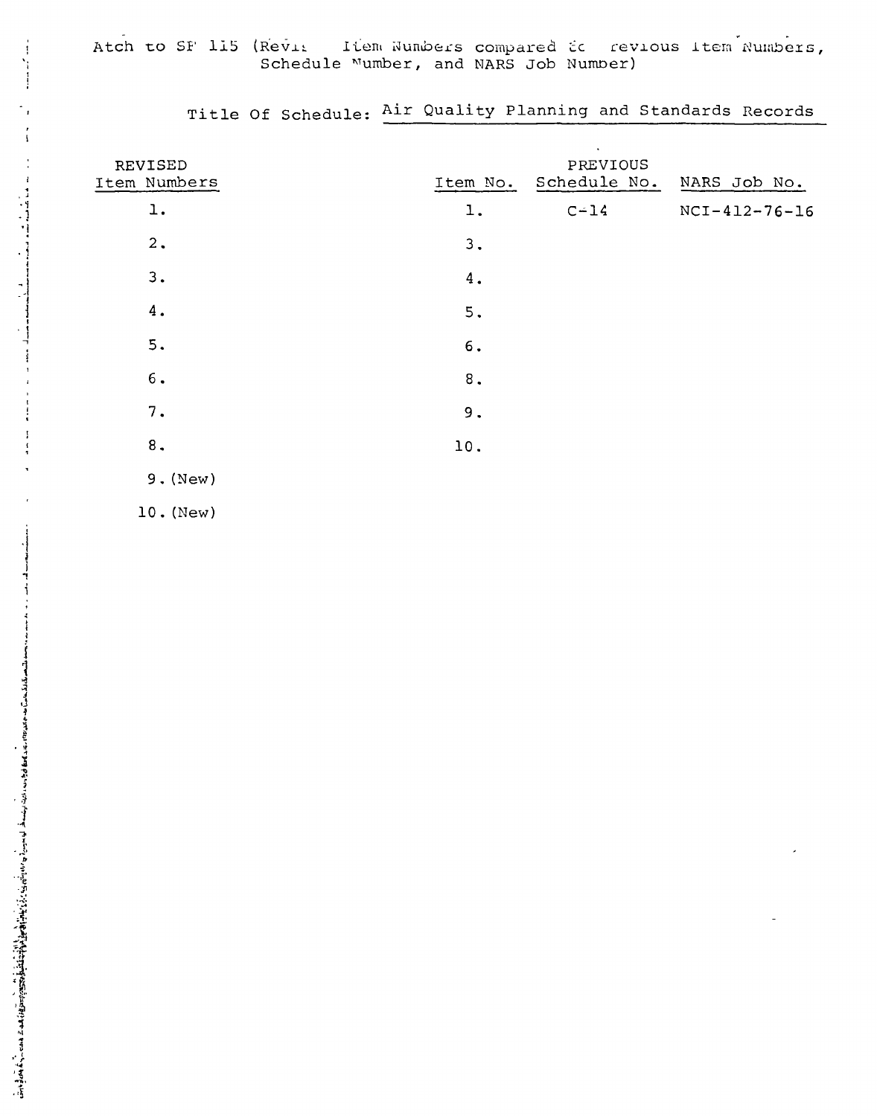| REVISED<br>Item Numbers | Item No.  | $\bullet$<br>PREVIOUS<br>Schedule No. | NARS Job No.    |
|-------------------------|-----------|---------------------------------------|-----------------|
| ı.                      | $1$ .     | $C-14$                                | $NCI-412-76-16$ |
| 2.                      | 3.        |                                       |                 |
| 3.                      | 4.        |                                       |                 |
| $4$ .                   | 5.        |                                       |                 |
| 5.                      | 6.        |                                       |                 |
| $6.$                    | $\bf 8$ . |                                       |                 |
| 7.                      | 9.        |                                       |                 |
| $\bf 8$ .               | 10.       |                                       |                 |
| $9.$ (New)              |           |                                       |                 |

Title Of Schedule: Air Quality Planning and Standards Records

 $10.$  (New)

Ť

기<br>기대에서 대한 대학교 대학교 이 대학교 대학교 이 시간이 시간이 있다. 한 사이에 한 사이에 있어 있는 것은 특별 사이를 사용하는 것은 이 사이에 대한 사이에 있어 있어 있어 있어 있어 있어 있어 있다.